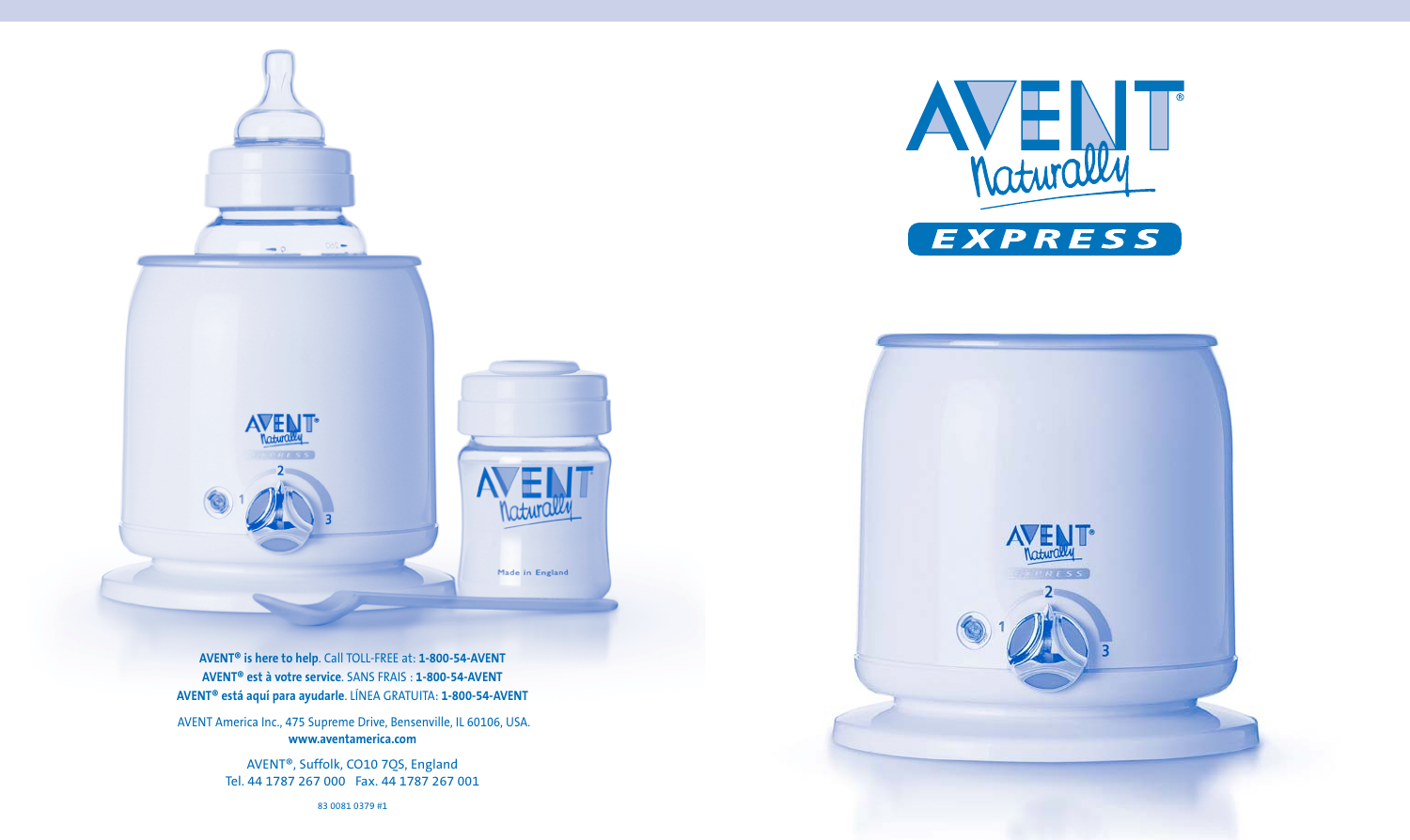

**AVENT® is here to help**. Call TOLL-FREE at: **1-800-54-AVENT AVENT® est à votre service**. SANS FRAIS : **1-800-54-AVENT AVENT® está aquí para ayudarle**. LÍNEA GRATUITA: **1-800-54-AVENT**

AVENT America Inc., 475 Supreme Drive, Bensenville, IL 60106, USA. **www.aventamerica.com**

> AVENT®, Suffolk, CO10 7QS, England Tel. 44 1787 267 000 Fax. 44 1787 267 001

> > 83 0081 0379 #1



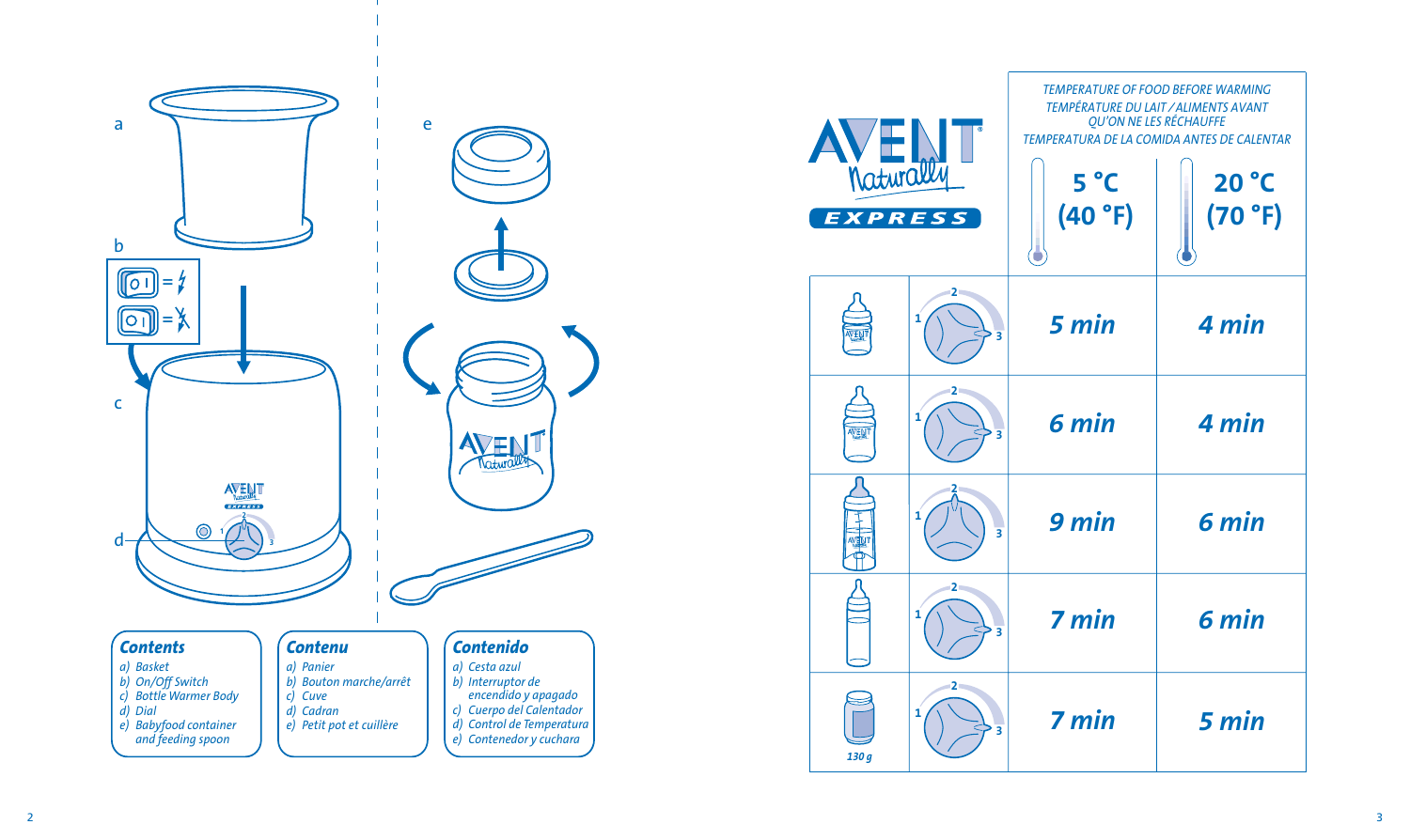

| Naturally<br><b>EXPRESS</b> | $5^{\circ}$ C<br>(40 °F) | <b>TEMPERATURE OF FOOD BEFORE WARMING</b><br>TEMPÉRATURE DU LAIT / ALIMENTS AVANT<br><b>OU'ON NE LES RÉCHAUFFE</b><br><b>TEMPERATURA DE LA COMIDA ANTES DE CALENTAR</b><br>20 °C<br>(70 °F) |
|-----------------------------|--------------------------|---------------------------------------------------------------------------------------------------------------------------------------------------------------------------------------------|
| 2-<br>1<br>VEN              | 5 min                    | 4 min                                                                                                                                                                                       |
| 2-<br>1<br>VENT             | 6 min<br>Ŕ               | 4 min                                                                                                                                                                                       |
| 1                           | 9 min<br>R               | 6 min                                                                                                                                                                                       |
| 2-<br>1                     | 7 min<br>R               | 6 min                                                                                                                                                                                       |
| $2-$<br>1<br>130 g          | 7 min<br>ä               | 5 min                                                                                                                                                                                       |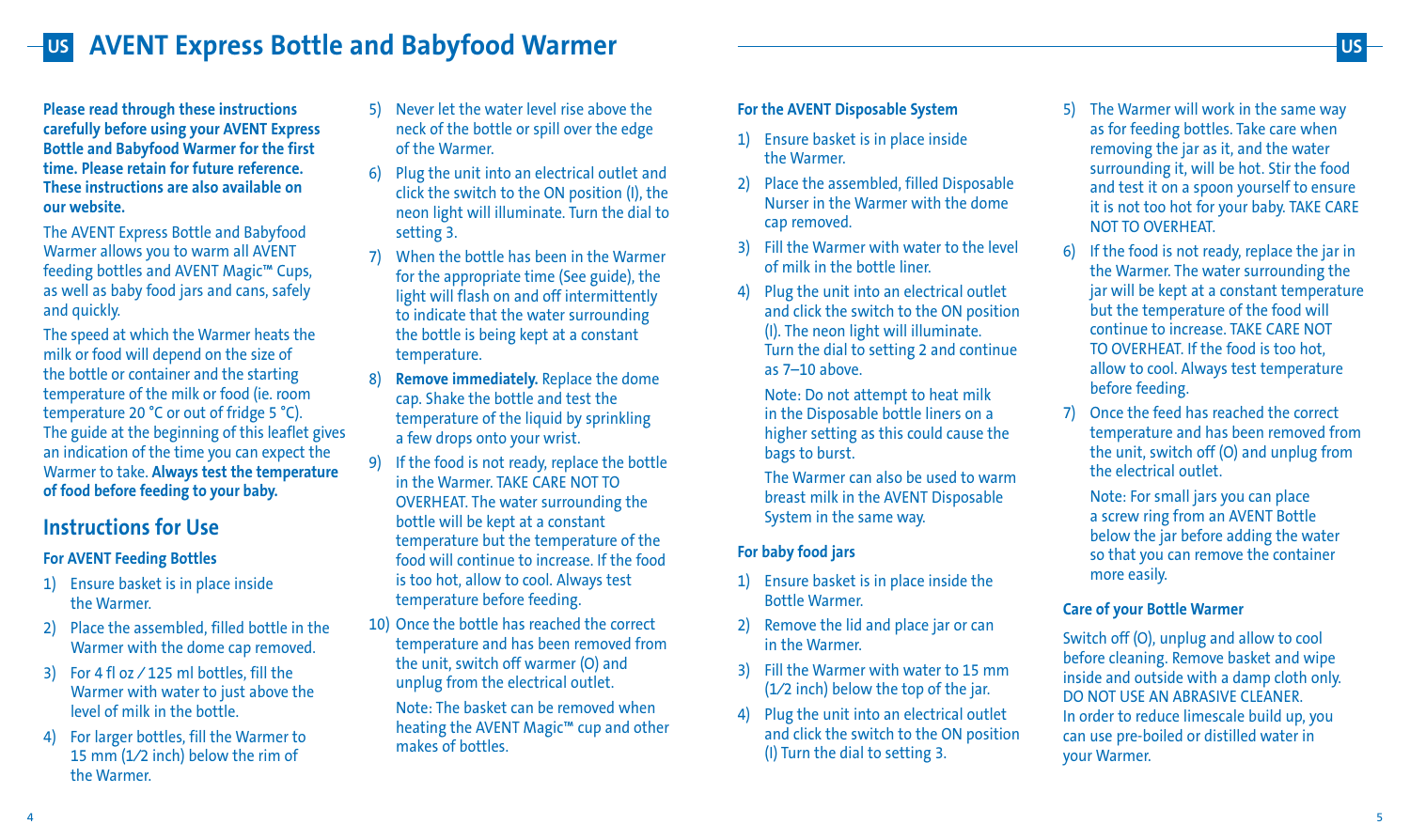## **AVENT Express Bottle and Babyfood Warmer**

**Please read through these instructions carefully before using your AVENT Express Bottle and Babyfood Warmer for the first time. Please retain for future reference. These instructions are also available on our website.** 

The AVENT Express Bottle and Babyfood Warmer allows you to warm all AVENT feeding bottles and AVENT Magic™ Cups, as well as baby food jars and cans, safely and quickly.

The speed at which the Warmer heats the milk or food will depend on the size of the bottle or container and the starting temperature of the milk or food (ie. room temperature 20 °C or out of fridge 5 °C). The guide at the beginning of this leaflet gives an indication of the time you can expect the Warmer to take. **Always test the temperature of food before feeding to your baby.**

## **Instructions for Use**

### **For AVENT Feeding Bottles**

- 1) Ensure basket is in place inside the Warmer.
- 2) Place the assembled, filled bottle in the Warmer with the dome cap removed.
- 3) For 4 fl oz ⁄ 125 ml bottles, fill the Warmer with water to just above the level of milk in the bottle.
- 4) For larger bottles, fill the Warmer to 15 mm (1⁄2 inch) below the rim of the Warmer.
- 5) Never let the water level rise above the neck of the bottle or spill over the edge of the Warmer.
- 6) Plug the unit into an electrical outlet and click the switch to the ON position (I), the neon light will illuminate. Turn the dial to setting 3.
- 7) When the bottle has been in the Warmer for the appropriate time (See guide), the light will flash on and off intermittently to indicate that the water surrounding the bottle is being kept at a constant temperature.
- 8) **Remove immediately.** Replace the dome cap. Shake the bottle and test the temperature of the liquid by sprinkling a few drops onto your wrist.
- 9) If the food is not ready, replace the bottle in the Warmer. TAKE CARE NOT TO OVERHEAT. The water surrounding the bottle will be kept at a constant temperature but the temperature of the food will continue to increase. If the food is too hot, allow to cool. Always test temperature before feeding.
- 10) Once the bottle has reached the correct temperature and has been removed from the unit, switch off warmer (O) and unplug from the electrical outlet.

Note: The basket can be removed when heating the AVENT Magic™ cup and other makes of bottles.

### **For the AVENT Disposable System**

- 1) Ensure basket is in place inside the Warmer.
- 2) Place the assembled, filled Disposable Nurser in the Warmer with the dome cap removed.
- 3) Fill the Warmer with water to the level of milk in the bottle liner.
- 4) Plug the unit into an electrical outlet and click the switch to the ON position (I). The neon light will illuminate. Turn the dial to setting 2 and continue as 7–10 above.

Note: Do not attempt to heat milk in the Disposable bottle liners on a higher setting as this could cause the bags to burst.

The Warmer can also be used to warm breast milk in the AVENT Disposable System in the same way.

## **For baby food jars**

- 1) Ensure basket is in place inside the Bottle Warmer.
- 2) Remove the lid and place jar or can in the Warmer.
- 3) Fill the Warmer with water to 15 mm (1⁄2 inch) below the top of the jar.
- 4) Plug the unit into an electrical outlet and click the switch to the ON position (I) Turn the dial to setting 3.
- 5) The Warmer will work in the same way as for feeding bottles. Take care when removing the jar as it, and the water surrounding it, will be hot. Stir the food and test it on a spoon yourself to ensure it is not too hot for your baby. TAKE CARE NOT TO OVERHEAT.
- 6) If the food is not ready, replace the jar in the Warmer. The water surrounding the jar will be kept at a constant temperature but the temperature of the food will continue to increase. TAKE CARE NOT TO OVERHEAT. If the food is too hot, allow to cool. Always test temperature before feeding.
- 7) Once the feed has reached the correct temperature and has been removed from the unit, switch off (O) and unplug from the electrical outlet.

Note: For small jars you can place a screw ring from an AVENT Bottle below the jar before adding the water so that you can remove the container more easily.

#### **Care of your Bottle Warmer**

Switch off (O), unplug and allow to cool before cleaning. Remove basket and wipe inside and outside with a damp cloth only. DO NOT USE AN ABRASIVE CLEANER. In order to reduce limescale build up, you can use pre-boiled or distilled water in your Warmer.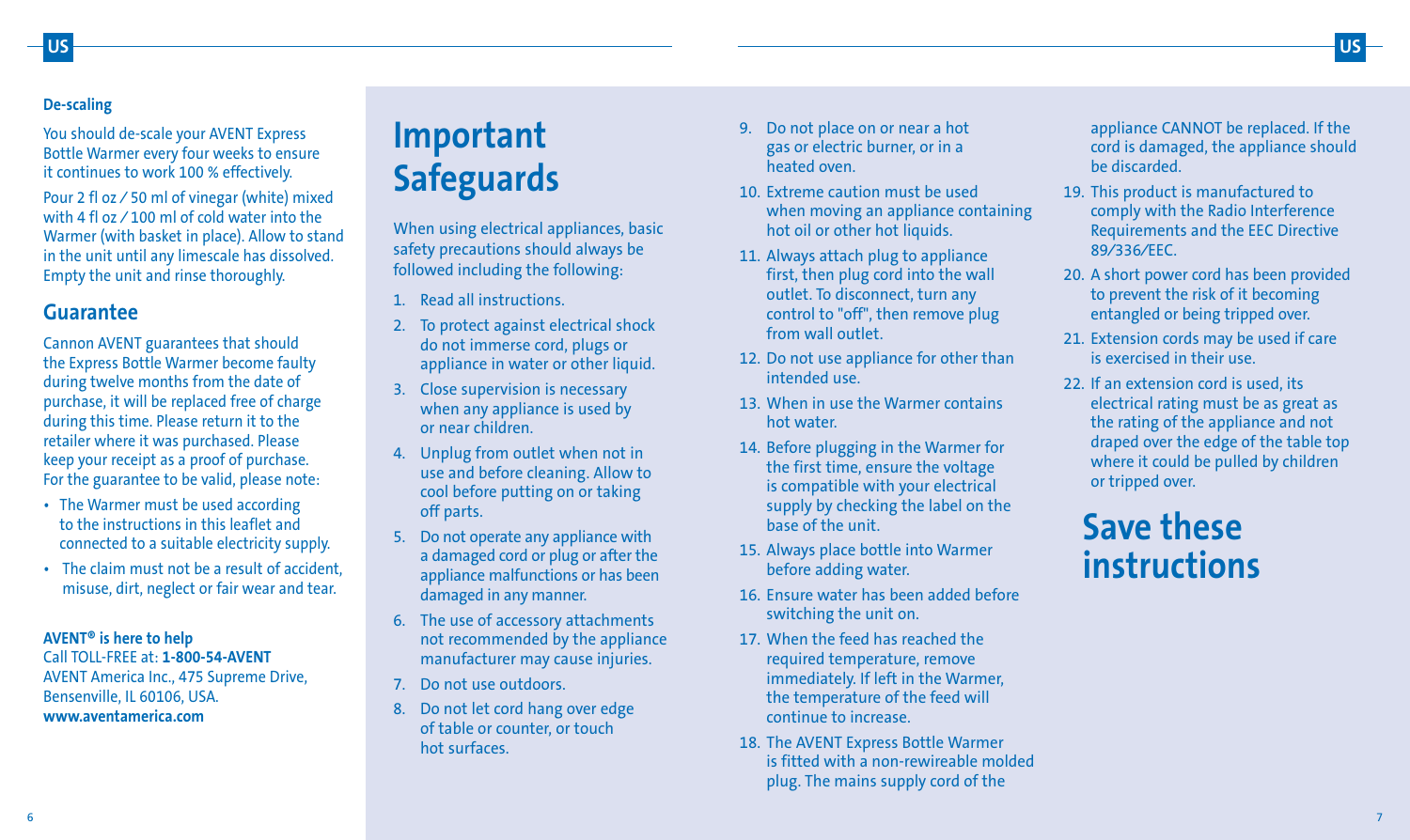## **De-scaling**

You should de-scale your AVENT Express Bottle Warmer every four weeks to ensure it continues to work 100 % effectively.

Pour 2 fl oz ⁄ 50 ml of vinegar (white) mixed with 4 fl oz / 100 ml of cold water into the Warmer (with basket in place). Allow to stand in the unit until any limescale has dissolved. Empty the unit and rinse thoroughly.

## **Guarantee**

Cannon AVENT guarantees that should the Express Bottle Warmer become faulty during twelve months from the date of purchase, it will be replaced free of charge during this time. Please return it to the retailer where it was purchased. Please keep your receipt as a proof of purchase. For the guarantee to be valid, please note:

- The Warmer must be used according to the instructions in this leaflet and connected to a suitable electricity supply.
- The claim must not be a result of accident, misuse, dirt, neglect or fair wear and tear.

## **AVENT® is here to help** Call TOLL-FREE at: **1-800-54-AVENT**

AVENT America Inc., 475 Supreme Drive, Bensenville, IL 60106, USA. **www.aventamerica.com**

# **Important Safeguards**

When using electrical appliances, basic safety precautions should always be followed including the following:

- 1. Read all instructions.
- 2. To protect against electrical shock do not immerse cord, plugs or appliance in water or other liquid.
- 3. Close supervision is necessary when any appliance is used by or near children.
- 4. Unplug from outlet when not in use and before cleaning. Allow to cool before putting on or taking off parts.
- 5. Do not operate any appliance with a damaged cord or plug or after the appliance malfunctions or has been damaged in any manner.
- 6. The use of accessory attachments not recommended by the appliance manufacturer may cause injuries.
- 7. Do not use outdoors.
- 8. Do not let cord hang over edge of table or counter, or touch hot surfaces.

9. Do not place on or near a hot gas or electric burner, or in a heated oven.

**US US**

- 10. Extreme caution must be used when moving an appliance containing hot oil or other hot liquids.
- 11. Always attach plug to appliance first, then plug cord into the wall outlet. To disconnect, turn any control to "off", then remove plug from wall outlet.
- 12. Do not use appliance for other than intended use.
- 13. When in use the Warmer contains hot water.
- 14. Before plugging in the Warmer for the first time, ensure the voltage is compatible with your electrical supply by checking the label on the base of the unit.
- 15. Always place bottle into Warmer before adding water.
- 16. Ensure water has been added before switching the unit on.
- 17. When the feed has reached the required temperature, remove immediately. If left in the Warmer, the temperature of the feed will continue to increase.
- 18. The AVENT Express Bottle Warmer is fitted with a non-rewireable molded plug. The mains supply cord of the

appliance CANNOT be replaced. If the cord is damaged, the appliance should be discarded.

- 19. This product is manufactured to comply with the Radio Interference Requirements and the EEC Directive 89⁄336⁄EEC.
- 20. A short power cord has been provided to prevent the risk of it becoming entangled or being tripped over.
- 21. Extension cords may be used if care is exercised in their use.
- 22. If an extension cord is used, its electrical rating must be as great as the rating of the appliance and not draped over the edge of the table top where it could be pulled by children or tripped over.

# **Save these instructions**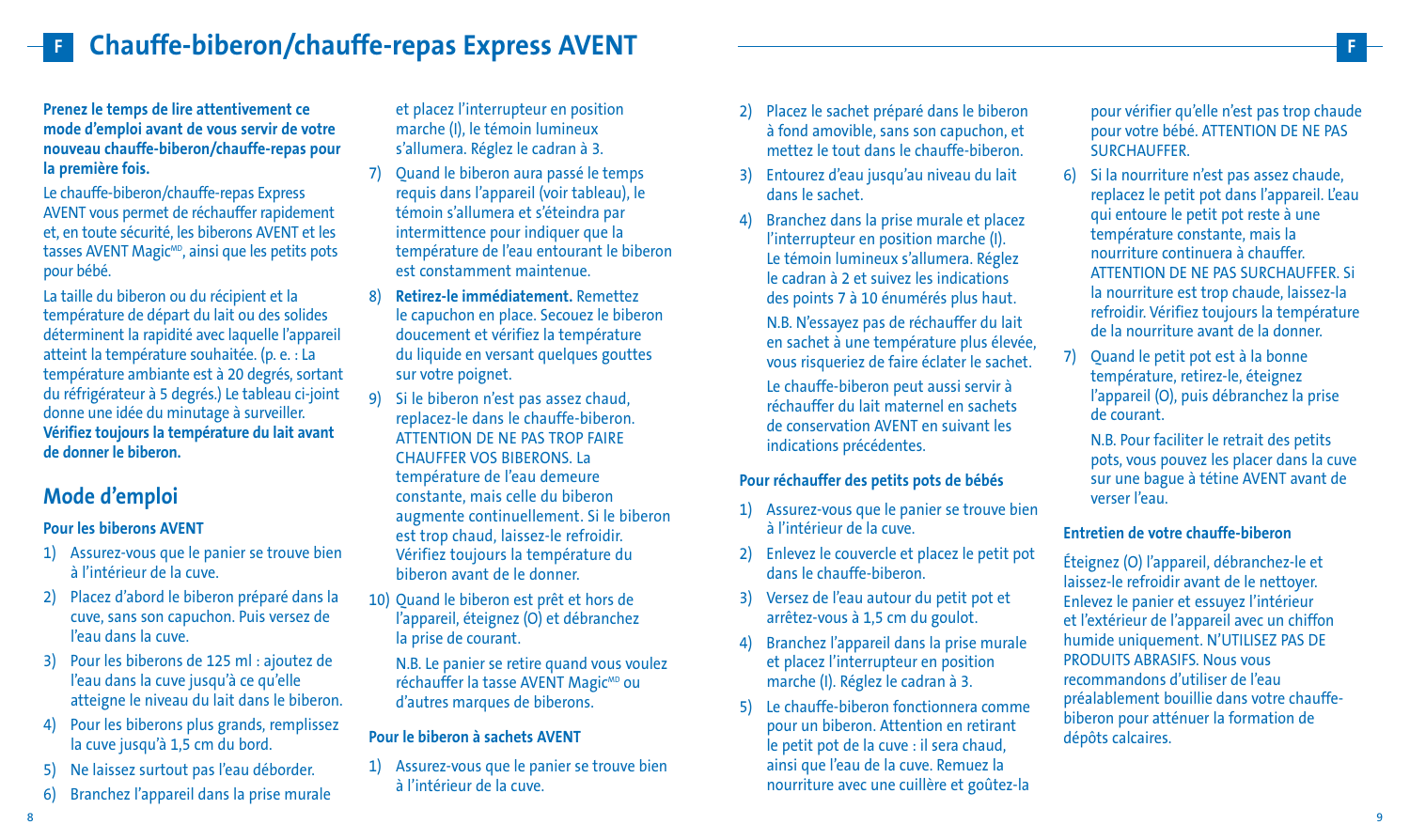## **<sup>F</sup> Chauffe-biberon/chauffe-repas Express AVENT <sup>F</sup>**

**Prenez le temps de lire attentivement ce mode d'emploi avant de vous servir de votre nouveau chauffe-biberon/chauffe-repas pour la première fois.**

Le chauffe-biberon/chauffe-repas Express AVENT vous permet de réchauffer rapidement et, en toute sécurité, les biberons AVENT et les tasses AVENT Magic<sup>MD</sup>, ainsi que les petits pots pour bébé.

La taille du biberon ou du récipient et la température de départ du lait ou des solides déterminent la rapidité avec laquelle l'appareil atteint la température souhaitée. (p. e. : La température ambiante est à 20 degrés, sortant du réfrigérateur à 5 degrés.) Le tableau ci-joint donne une idée du minutage à surveiller. **Vérifiez toujours la température du lait avant de donner le biberon.**

## **Mode d'emploi**

#### **Pour les biberons AVENT**

- 1) Assurez-vous que le panier se trouve bien à l'intérieur de la cuve.
- 2) Placez d'abord le biberon préparé dans la cuve, sans son capuchon. Puis versez de l'eau dans la cuve.
- 3) Pour les biberons de 125 ml : ajoutez de l'eau dans la cuve jusqu'à ce qu'elle atteigne le niveau du lait dans le biberon.
- 4) Pour les biberons plus grands, remplissez la cuve jusqu'à 1,5 cm du bord.
- 5) Ne laissez surtout pas l'eau déborder.
- 6) Branchez l'appareil dans la prise murale

et placez l'interrupteur en position marche (I), le témoin lumineux s'allumera. Réglez le cadran à 3.

- 7) Quand le biberon aura passé le temps requis dans l'appareil (voir tableau), le témoin s'allumera et s'éteindra par intermittence pour indiquer que la température de l'eau entourant le biberon est constamment maintenue.
- 8) **Retirez-le immédiatement.** Remettez le capuchon en place. Secouez le biberon doucement et vérifiez la température du liquide en versant quelques gouttes sur votre poignet.
- 9) Si le biberon n'est pas assez chaud, replacez-le dans le chauffe-biberon. ATTENTION DE NE PAS TROP FAIRE CHAUFFER VOS BIBERONS. La température de l'eau demeure constante, mais celle du biberon augmente continuellement. Si le biberon est trop chaud, laissez-le refroidir. Vérifiez toujours la température du biberon avant de le donner.
- 10) Quand le biberon est prêt et hors de l'appareil, éteignez (O) et débranchez la prise de courant.
	- N.B. Le panier se retire quand vous voulez réchauffer la tasse AVENT Magic<sup>MD</sup> ou d'autres marques de biberons.

#### **Pour le biberon à sachets AVENT**

1) Assurez-vous que le panier se trouve bien à l'intérieur de la cuve.

- 2) Placez le sachet préparé dans le biberon à fond amovible, sans son capuchon, et mettez le tout dans le chauffe-biberon.
- 3) Entourez d'eau jusqu'au niveau du lait dans le sachet.
- 4) Branchez dans la prise murale et placez l'interrupteur en position marche (I). Le témoin lumineux s'allumera. Réglez le cadran à 2 et suivez les indications des points 7 à 10 énumérés plus haut.

N.B. N'essayez pas de réchauffer du lait en sachet à une température plus élevée, vous risqueriez de faire éclater le sachet. Le chauffe-biberon peut aussi servir à

réchauffer du lait maternel en sachets de conservation AVENT en suivant les indications précédentes.

#### **Pour réchauffer des petits pots de bébés**

- 1) Assurez-vous que le panier se trouve bien à l'intérieur de la cuve.
- 2) Enlevez le couvercle et placez le petit pot dans le chauffe-biberon.
- 3) Versez de l'eau autour du petit pot et arrêtez-vous à 1,5 cm du goulot.
- 4) Branchez l'appareil dans la prise murale et placez l'interrupteur en position marche (I). Réglez le cadran à 3.
- 5) Le chauffe-biberon fonctionnera comme pour un biberon. Attention en retirant le petit pot de la cuve : il sera chaud, ainsi que l'eau de la cuve. Remuez la nourriture avec une cuillère et goûtez-la

pour vérifier qu'elle n'est pas trop chaude pour votre bébé. ATTENTION DE NE PAS **SURCHAUFFER** 

- 6) Si la nourriture n'est pas assez chaude, replacez le petit pot dans l'appareil. L'eau qui entoure le petit pot reste à une température constante, mais la nourriture continuera à chauffer. ATTENTION DE NE PAS SURCHAUFFER. Si la nourriture est trop chaude, laissez-la refroidir. Vérifiez toujours la température de la nourriture avant de la donner.
- 7) Quand le petit pot est à la bonne température, retirez-le, éteignez l'appareil (O), puis débranchez la prise de courant.

N.B. Pour faciliter le retrait des petits pots, vous pouvez les placer dans la cuve sur une bague à tétine AVENT avant de verser l'eau.

#### **Entretien de votre chauffe-biberon**

Éteignez (O) l'appareil, débranchez-le et laissez-le refroidir avant de le nettoyer. Enlevez le panier et essuyez l'intérieur et l'extérieur de l'appareil avec un chiffon humide uniquement. N'UTILISEZ PAS DE PRODUITS ABRASIFS. Nous vous recommandons d'utiliser de l'eau préalablement bouillie dans votre chauffebiberon pour atténuer la formation de dépôts calcaires.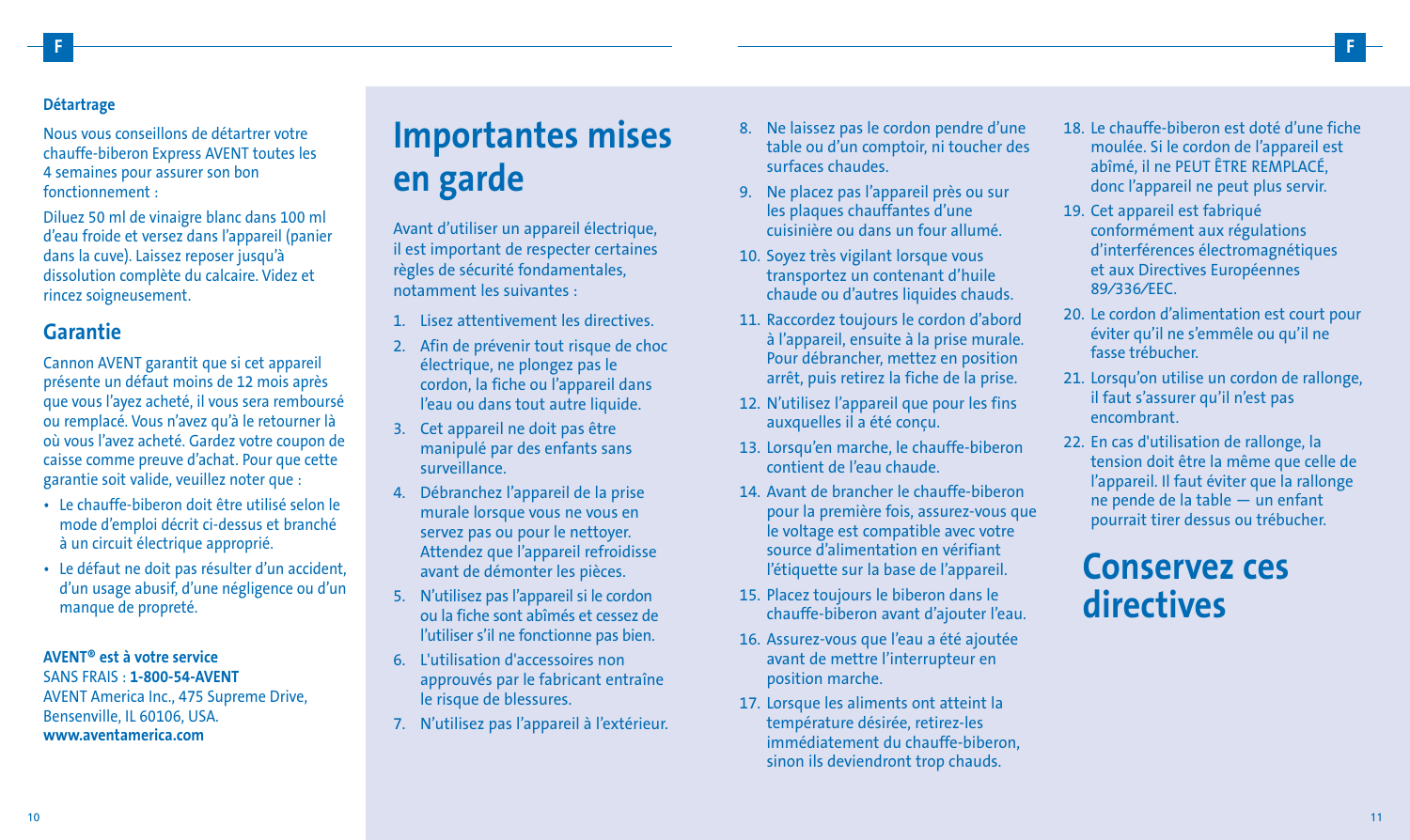### **Détartrage**

Nous vous conseillons de détartrer votre chauffe-biberon Express AVENT toutes les 4 semaines pour assurer son bon fonctionnement :

Diluez 50 ml de vinaigre blanc dans 100 ml d'eau froide et versez dans l'appareil (panier dans la cuve). Laissez reposer jusqu'à dissolution complète du calcaire. Videz et rincez soigneusement.

## **Garantie**

Cannon AVENT garantit que si cet appareil présente un défaut moins de 12 mois après que vous l'ayez acheté, il vous sera remboursé ou remplacé. Vous n'avez qu'à le retourner là où vous l'avez acheté. Gardez votre coupon de caisse comme preuve d'achat. Pour que cette garantie soit valide, veuillez noter que :

- Le chauffe-biberon doit être utilisé selon le mode d'emploi décrit ci-dessus et branché à un circuit électrique approprié.
- Le défaut ne doit pas résulter d'un accident, d'un usage abusif, d'une négligence ou d'un manque de propreté.

## **AVENT® est à votre service** SANS FRAIS : **1-800-54-AVENT**

AVENT America Inc., 475 Supreme Drive, Bensenville, IL 60106, USA. **www.aventamerica.com**

# **Importantes mises en garde**

Avant d'utiliser un appareil électrique, il est important de respecter certaines règles de sécurité fondamentales, notamment les suivantes :

- 1. Lisez attentivement les directives.
- 2. Afin de prévenir tout risque de choc électrique, ne plongez pas le cordon, la fiche ou l'appareil dans l'eau ou dans tout autre liquide.
- 3. Cet appareil ne doit pas être manipulé par des enfants sans surveillance.
- 4. Débranchez l'appareil de la prise murale lorsque vous ne vous en servez pas ou pour le nettoyer. Attendez que l'appareil refroidisse avant de démonter les pièces.
- 5. N'utilisez pas l'appareil si le cordon ou la fiche sont abîmés et cessez de l'utiliser s'il ne fonctionne pas bien.
- 6. L'utilisation d'accessoires non approuvés par le fabricant entraîne le risque de blessures.
- 7. N'utilisez pas l'appareil à l'extérieur.
- 8. Ne laissez pas le cordon pendre d'une table ou d'un comptoir, ni toucher des surfaces chaudes.
- 9. Ne placez pas l'appareil près ou sur les plaques chauffantes d'une cuisinière ou dans un four allumé.
- 10. Soyez très vigilant lorsque vous transportez un contenant d'huile chaude ou d'autres liquides chauds.
- 11. Raccordez toujours le cordon d'abord à l'appareil, ensuite à la prise murale. Pour débrancher, mettez en position arrêt, puis retirez la fiche de la prise.
- 12. N'utilisez l'appareil que pour les fins auxquelles il a été conçu.
- 13. Lorsqu'en marche, le chauffe-biberon contient de l'eau chaude.
- 14. Avant de brancher le chauffe-biberon pour la première fois, assurez-vous que le voltage est compatible avec votre source d'alimentation en vérifiant l'étiquette sur la base de l'appareil.
- 15. Placez toujours le biberon dans le chauffe-biberon avant d'ajouter l'eau.
- 16. Assurez-vous que l'eau a été ajoutée avant de mettre l'interrupteur en position marche.
- 17. Lorsque les aliments ont atteint la température désirée, retirez-les immédiatement du chauffe-biberon, sinon ils deviendront trop chauds.
- 18. Le chauffe-biberon est doté d'une fiche moulée. Si le cordon de l'appareil est abîmé, il ne PEUT ÊTRE REMPLACÉ, donc l'appareil ne peut plus servir.
- 19. Cet appareil est fabriqué conformément aux régulations d'interférences électromagnétiques et aux Directives Européennes 89⁄336⁄EEC.
- 20. Le cordon d'alimentation est court pour éviter qu'il ne s'emmêle ou qu'il ne fasse trébucher.
- 21. Lorsqu'on utilise un cordon de rallonge, il faut s'assurer qu'il n'est pas encombrant.
- 22. En cas d'utilisation de rallonge, la tension doit être la même que celle de l'appareil. Il faut éviter que la rallonge ne pende de la table — un enfant pourrait tirer dessus ou trébucher.

# **Conservez ces directives**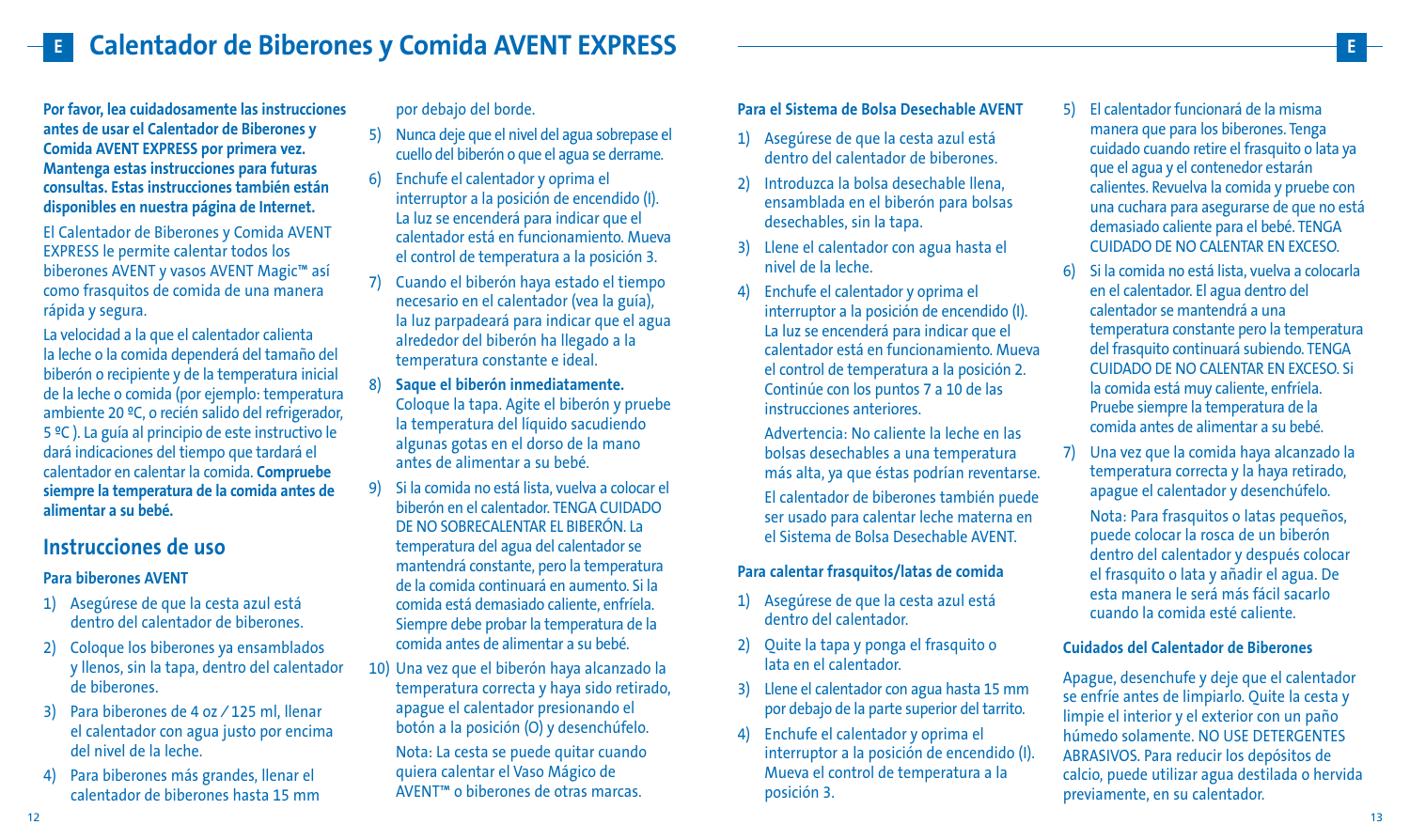## **<sup>E</sup> Calentador de Biberones y Comida AVENT EXPRESS <sup>E</sup>**

**Por favor, lea cuidadosamente las instrucciones antes de usar el Calentador de Biberones y Comida AVENT EXPRESS por primera vez. Mantenga estas instrucciones para futuras consultas. Estas instrucciones también están disponibles en nuestra página de Internet.**

El Calentador de Biberones y Comida AVENT EXPRESS le permite calentar todos los biberones AVENT y vasos AVENT Magic™ así como frasquitos de comida de una manera rápida y segura.

La velocidad a la que el calentador calienta la leche o la comida dependerá del tamaño del biberón o recipiente y de la temperatura inicial de la leche o comida (por ejemplo: temperatura ambiente 20 ºC, o recién salido del refrigerador, 5 ºC ). La guía al principio de este instructivo le dará indicaciones del tiempo que tardará el calentador en calentar la comida. **Compruebe siempre la temperatura de la comida antes de alimentar a su bebé.**

## **Instrucciones de uso**

#### **Para biberones AVENT**

- 1) Asegúrese de que la cesta azul está dentro del calentador de biberones.
- 2) Coloque los biberones ya ensamblados y llenos, sin la tapa, dentro del calentador de biberones.
- 3) Para biberones de 4 oz ⁄ 125 ml, llenar el calentador con agua justo por encima del nivel de la leche.
- 4) Para biberones más grandes, llenar el calentador de biberones hasta 15 mm

por debajo del borde.

- 5) Nunca deje que el nivel del agua sobrepase el cuello del biberón o que el agua se derrame.
- 6) Enchufe el calentador y oprima el interruptor a la posición de encendido (I). La luz se encenderá para indicar que el calentador está en funcionamiento. Mueva el control de temperatura a la posición 3.
- 7) Cuando el biberón haya estado el tiempo necesario en el calentador (vea la guía), la luz parpadeará para indicar que el agua alrededor del biberón ha llegado a la temperatura constante e ideal.
- 8) **Saque el biberón inmediatamente.** Coloque la tapa. Agite el biberón y pruebe la temperatura del líquido sacudiendo algunas gotas en el dorso de la mano antes de alimentar a su bebé.
- 9) Si la comida no está lista, vuelva a colocar el biberón en el calentador. TENGA CUIDADO DE NO SOBRECALENTAR EL BIBERÓN. La temperatura del agua del calentador se mantendrá constante, pero la temperatura de la comida continuará en aumento. Si la comida está demasiado caliente, enfríela. Siempre debe probar la temperatura de la comida antes de alimentar a su bebé.
- 10) Una vez que el biberón haya alcanzado la temperatura correcta y haya sido retirado, apague el calentador presionando el botón a la posición (O) y desenchúfelo. Nota: La cesta se puede quitar cuando quiera calentar el Vaso Mágico de AVENT™ o biberones de otras marcas.

## **Para el Sistema de Bolsa Desechable AVENT**

- 1) Asegúrese de que la cesta azul está dentro del calentador de biberones.
- 2) Introduzca la bolsa desechable llena, ensamblada en el biberón para bolsas desechables, sin la tapa.
- 3) Llene el calentador con agua hasta el nivel de la leche.
- 4) Enchufe el calentador y oprima el interruptor a la posición de encendido (I). La luz se encenderá para indicar que el calentador está en funcionamiento. Mueva el control de temperatura a la posición 2. Continúe con los puntos 7 a 10 de las instrucciones anteriores.

Advertencia: No caliente la leche en las bolsas desechables a una temperatura más alta, ya que éstas podrían reventarse. El calentador de biberones también puede ser usado para calentar leche materna en el Sistema de Bolsa Desechable AVENT.

### **Para calentar frasquitos/latas de comida**

- 1) Asegúrese de que la cesta azul está dentro del calentador.
- 2) Quite la tapa y ponga el frasquito o lata en el calentador.
- 3) Llene el calentador con agua hasta 15 mm por debajo de la parte superior del tarrito.
- 4) Enchufe el calentador y oprima el interruptor a la posición de encendido (I). Mueva el control de temperatura a la posición 3.
- 5) El calentador funcionará de la misma manera que para los biberones. Tenga cuidado cuando retire el frasquito o lata ya que el agua y el contenedor estarán calientes. Revuelva la comida y pruebe con una cuchara para asegurarse de que no está demasiado caliente para el bebé. TENGA CUIDADO DE NO CALENTAR EN EXCESO.
- 6) Si la comida no está lista, vuelva a colocarla en el calentador. El agua dentro del calentador se mantendrá a una temperatura constante pero la temperatura del frasquito continuará subiendo. TENGA CUIDADO DE NO CALENTAR EN EXCESO. Si la comida está muy caliente, enfríela. Pruebe siempre la temperatura de la comida antes de alimentar a su bebé.
- 7) Una vez que la comida haya alcanzado la temperatura correcta y la haya retirado, apague el calentador y desenchúfelo.
	- Nota: Para frasquitos o latas pequeños, puede colocar la rosca de un biberón dentro del calentador y después colocar el frasquito o lata y añadir el agua. De esta manera le será más fácil sacarlo cuando la comida esté caliente.

#### **Cuidados del Calentador de Biberones**

Apague, desenchufe y deje que el calentador se enfríe antes de limpiarlo. Quite la cesta y limpie el interior y el exterior con un paño húmedo solamente. NO USE DETERGENTES ABRASIVOS. Para reducir los depósitos de calcio, puede utilizar agua destilada o hervida previamente, en su calentador.